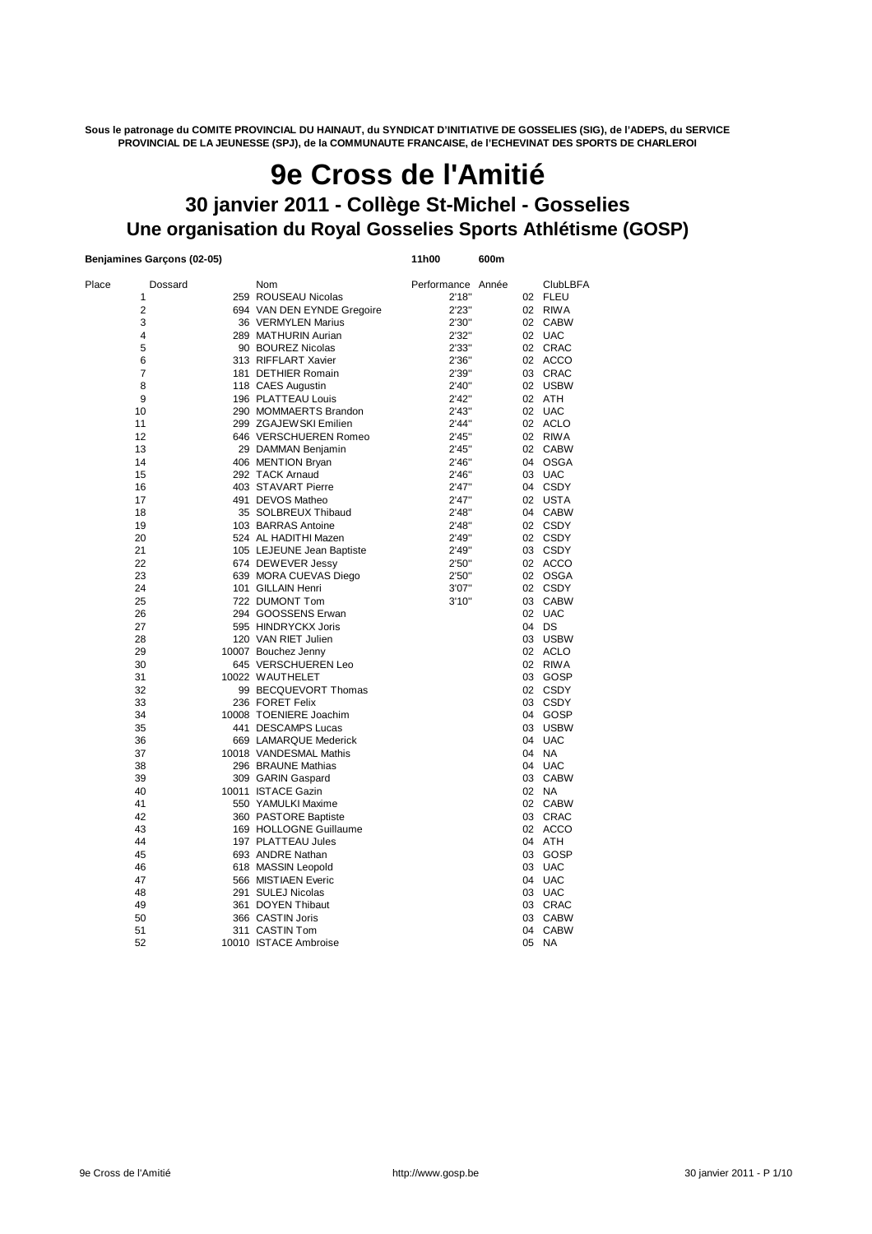**Sous le patronage du COMITE PROVINCIAL DU HAINAUT, du SYNDICAT D'INITIATIVE DE GOSSELIES (SIG), de l'ADEPS, du SERVICE PROVINCIAL DE LA JEUNESSE (SPJ), de la COMMUNAUTE FRANCAISE, de l'ECHEVINAT DES SPORTS DE CHARLEROI**

# **Une organisation du Royal Gosselies Sports Athlétisme (GOSP) 9e Cross de l'Amitié 30 janvier 2011 - Collège St-Michel - Gosselies**

## **Benjamines Garçons (02-05) 11h00 600m**

| Place | Dossard        | Nom                        | Performance Année |    | <b>ClubLBFA</b> |
|-------|----------------|----------------------------|-------------------|----|-----------------|
|       | 1              | 259 ROUSEAU Nicolas        | 2'18"             |    | 02 FLEU         |
|       | $\overline{2}$ | 694 VAN DEN EYNDE Gregoire | 2'23"             |    | 02 RIWA         |
|       | 3              | 36 VERMYLEN Marius         | 2'30"             |    | 02 CABW         |
|       | 4              | 289 MATHURIN Aurian        | 2'32"             |    | 02 UAC          |
|       | 5              | 90 BOUREZ Nicolas          | 2'33"             |    | 02 CRAC         |
|       | 6              | 313 RIFFLART Xavier        | 2'36"             |    | 02 ACCO         |
|       | 7              | 181 DETHIER Romain         | 2'39"             | 03 | CRAC            |
|       | 8              | 118 CAES Augustin          | 2'40"             |    | 02 USBW         |
|       | 9              | 196 PLATTEAU Louis         | 2'42"             |    | 02 ATH          |
| 10    |                | 290 MOMMAERTS Brandon      | 2'43''            |    | 02 UAC          |
| 11    |                | 299 ZGAJEWSKI Emilien      | 2'44"             |    | 02 ACLO         |
| 12    |                | 646 VERSCHUEREN Romeo      | 2'45''            |    | 02 RIWA         |
| 13    |                | 29 DAMMAN Benjamin         | 2'45''            |    | 02 CABW         |
| 14    |                |                            |                   | 04 | OSGA            |
|       |                | 406 MENTION Bryan          | 2'46"             |    |                 |
| 15    |                | 292 TACK Arnaud            | 2'46"             |    | 03 UAC          |
| 16    |                | 403 STAVART Pierre         | 2'47"             | 04 | CSDY            |
| 17    |                | 491 DEVOS Matheo           | 2'47''            |    | 02 USTA         |
| 18    |                | 35 SOLBREUX Thibaud        | 2'48"             |    | 04 CABW         |
| 19    |                | 103 BARRAS Antoine         | 2'48"             |    | 02 CSDY         |
| 20    |                | 524 AL HADITHI Mazen       | 2'49"             |    | 02 CSDY         |
| 21    |                | 105 LEJEUNE Jean Baptiste  | 2'49"             |    | 03 CSDY         |
| 22    |                | 674 DEWEVER Jessy          | 2'50"             |    | 02 ACCO         |
| 23    |                | 639 MORA CUEVAS Diego      | 2'50"             |    | 02 OSGA         |
| 24    |                | 101 GILLAIN Henri          | 3'07"             |    | 02 CSDY         |
| 25    |                | 722 DUMONT Tom             | 3'10''            |    | 03 CABW         |
| 26    |                | 294 GOOSSENS Erwan         |                   |    | 02 UAC          |
| 27    |                | 595 HINDRYCKX Joris        |                   | 04 | DS              |
| 28    |                | 120 VAN RIET Julien        |                   |    | 03 USBW         |
| 29    |                | 10007 Bouchez Jenny        |                   |    | 02 ACLO         |
| 30    |                | 645 VERSCHUEREN Leo        |                   |    | 02 RIWA         |
| 31    |                | 10022 WAUTHELET            |                   | 03 | GOSP            |
| 32    |                | 99 BECQUEVORT Thomas       |                   |    | 02 CSDY         |
| 33    |                | 236 FORET Felix            |                   |    | 03 CSDY         |
| 34    |                | 10008 TOENIERE Joachim     |                   |    | 04 GOSP         |
| 35    |                | 441 DESCAMPS Lucas         |                   | 03 | <b>USBW</b>     |
| 36    |                | 669 LAMARQUE Mederick      |                   | 04 | <b>UAC</b>      |
| 37    |                | 10018 VANDESMAL Mathis     |                   | 04 | <b>NA</b>       |
| 38    |                | 296 BRAUNE Mathias         |                   | 04 | UAC             |
| 39    |                | 309 GARIN Gaspard          |                   | 03 | <b>CABW</b>     |
| 40    |                | 10011 ISTACE Gazin         |                   | 02 | NA              |
| 41    |                | 550 YAMULKI Maxime         |                   |    | 02 CABW         |
| 42    |                | 360 PASTORE Baptiste       |                   |    | 03 CRAC         |
| 43    |                | 169 HOLLOGNE Guillaume     |                   |    | 02 ACCO         |
| 44    |                | 197 PLATTEAU Jules         |                   |    | 04 ATH          |
| 45    |                | 693 ANDRE Nathan           |                   | 03 | GOSP            |
| 46    |                | 618 MASSIN Leopold         |                   | 03 | <b>UAC</b>      |
| 47    |                | 566 MISTIAEN Everic        |                   | 04 | <b>UAC</b>      |
| 48    |                | 291 SULEJ Nicolas          |                   |    | 03 UAC          |
|       |                |                            |                   |    |                 |
| 49    |                | 361 DOYEN Thibaut          |                   | 03 | CRAC            |
| 50    |                | 366 CASTIN Joris           |                   | 03 | <b>CABW</b>     |
| 51    |                | 311 CASTIN Tom             |                   | 04 | <b>CABW</b>     |
| 52    |                | 10010 ISTACE Ambroise      |                   | 05 | <b>NA</b>       |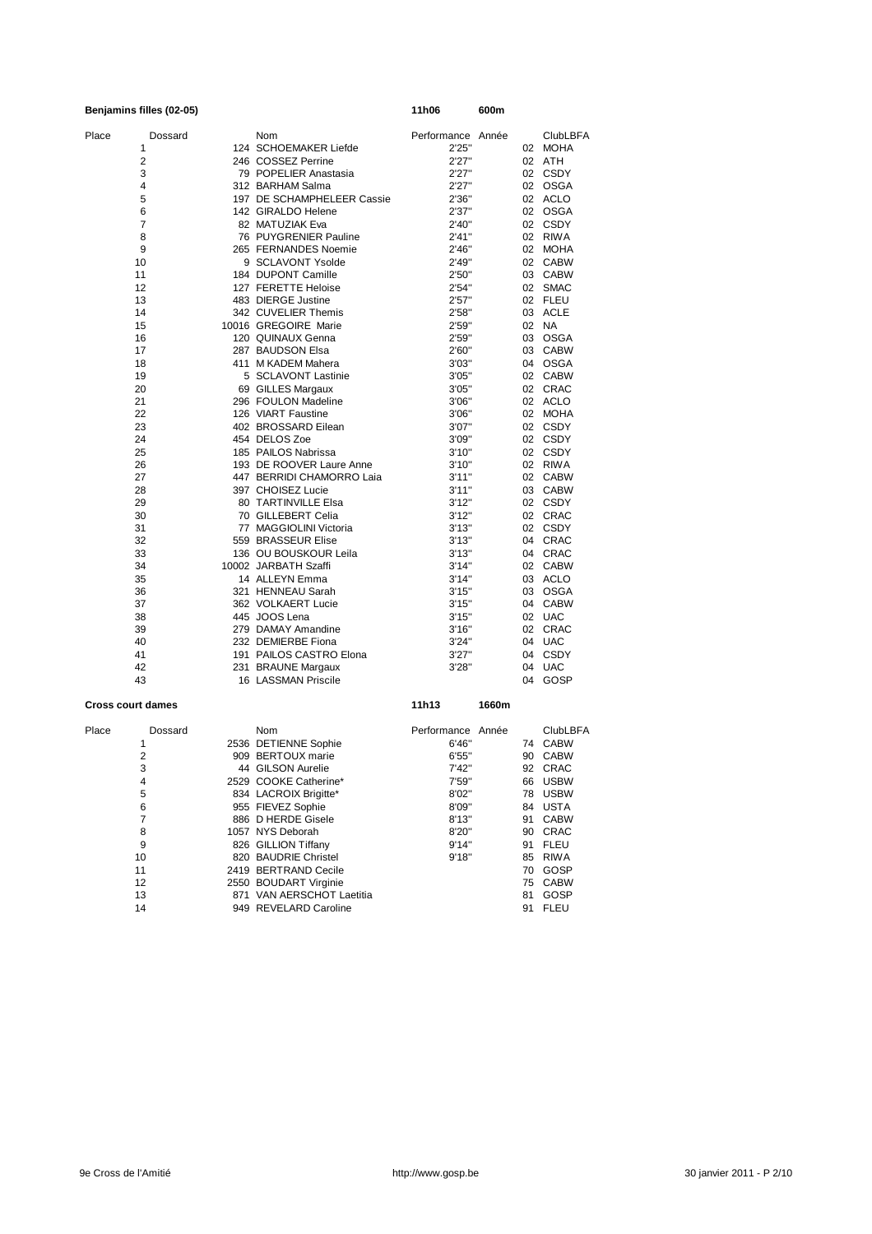|       | Benjamins filles (02-05) |                            | 11h06             | 600m  |    |                 |
|-------|--------------------------|----------------------------|-------------------|-------|----|-----------------|
| Place | Dossard                  | Nom                        | Performance Année |       |    | <b>ClubLBFA</b> |
|       | 1                        | 124 SCHOEMAKER Liefde      | 2'25"             |       |    | 02 MOHA         |
|       | 2                        | 246 COSSEZ Perrine         | 2'27"             |       |    | 02 ATH          |
|       | 3                        | 79 POPELIER Anastasia      | 2'27"             |       |    | 02 CSDY         |
|       | 4                        | 312 BARHAM Salma           | 2'27"             |       |    | 02 OSGA         |
|       | 5                        | 197 DE SCHAMPHELEER Cassie | 2'36"             |       |    | 02 ACLO         |
|       | 6                        | 142 GIRALDO Helene         | 2'37"             |       |    | 02 OSGA         |
|       | 7                        | 82 MATUZIAK Eva            | 2'40"             |       |    | 02 CSDY         |
|       | 8                        | 76 PUYGRENIER Pauline      | 2'41''            |       |    | 02 RIWA         |
|       | 9                        | 265 FERNANDES Noemie       | 2'46"             |       |    | 02 MOHA         |
|       | 10                       | 9 SCLAVONT Ysolde          | 2'49"             |       |    | 02 CABW         |
|       | 11                       | 184 DUPONT Camille         | 2'50"             |       |    | 03 CABW         |
|       | 12                       | 127 FERETTE Heloise        | 2'54"             |       |    | 02 SMAC         |
|       | 13                       | 483 DIERGE Justine         | 2'57''            |       |    | 02 FLEU         |
|       | 14                       | 342 CUVELIER Themis        | 2'58"             |       |    | 03 ACLE         |
|       | 15                       | 10016 GREGOIRE Marie       | 2'59"             |       |    | 02 NA           |
|       | 16                       | 120 QUINAUX Genna          | 2'59"             |       |    | 03 OSGA         |
|       | 17                       | 287 BAUDSON Elsa           | 2'60"             |       |    | 03 CABW         |
|       | 18                       | 411 M KADEM Mahera         | 3'03"             |       |    | 04 OSGA         |
|       | 19                       | 5 SCLAVONT Lastinie        | 3'05"             |       |    | 02 CABW         |
|       | 20                       | 69 GILLES Margaux          | 3'05"             |       |    | 02 CRAC         |
|       | 21                       | 296 FOULON Madeline        | 3'06"             |       |    | 02 ACLO         |
|       | 22                       | 126 VIART Faustine         | 3'06"             |       |    | 02 MOHA         |
|       | 23                       | 402 BROSSARD Eilean        | 3'07"             |       |    | 02 CSDY         |
|       | 24                       | 454 DELOS Zoe              | 3'09"             |       |    | 02 CSDY         |
|       | 25                       | 185 PAILOS Nabrissa        | 3'10''            |       |    | 02 CSDY         |
|       | 26                       | 193 DE ROOVER Laure Anne   | 3'10''            |       |    | 02 RIWA         |
|       | 27                       | 447 BERRIDI CHAMORRO Laia  | 3'11''            |       |    | 02 CABW         |
|       | 28                       | 397 CHOISEZ Lucie          | 3'11"             |       |    | 03 CABW         |
|       | 29                       | 80 TARTINVILLE Elsa        | 3'12''            |       |    | 02 CSDY         |
|       | 30                       | 70 GILLEBERT Celia         | 3'12''            |       |    | 02 CRAC         |
|       | 31                       | 77 MAGGIOLINI Victoria     | 3'13''            |       |    | 02 CSDY         |
|       | 32                       | 559 BRASSEUR Elise         | 3'13''            |       | 04 | CRAC            |
|       | 33                       | 136 OU BOUSKOUR Leila      | 3'13''            |       |    | 04 CRAC         |
|       | 34                       | 10002 JARBATH Szaffi       | 3'14''            |       |    | 02 CABW         |
|       | 35                       | 14 ALLEYN Emma             | 3'14"             |       |    | 03 ACLO         |
|       | 36                       | 321 HENNEAU Sarah          | 3'15''            |       |    | 03 OSGA         |
|       | 37                       | 362 VOLKAERT Lucie         | 3'15"             |       |    | 04 CABW         |
|       | 38                       | 445 JOOS Lena              | 3'15''            |       |    | 02 UAC          |
|       | 39                       | 279 DAMAY Amandine         | 3'16''            |       |    | 02 CRAC         |
|       | 40                       | 232 DEMIERBE Fiona         | 3'24"             |       | 04 | UAC             |
|       | 41                       | 191 PAILOS CASTRO Elona    | 3'27''            |       |    | 04 CSDY         |
|       | 42                       | 231 BRAUNE Margaux         | 3'28"             |       | 04 | <b>UAC</b>      |
|       | 43                       | 16 LASSMAN Priscile        |                   |       | 04 | GOSP            |
|       |                          |                            |                   |       |    |                 |
|       | <b>Cross court dames</b> |                            | 11h13             | 1660m |    |                 |
| Place | Dossard                  | Nom                        | Performance       | Année |    | <b>ClubLBFA</b> |
|       | 1                        | 2536 DETIENNE Sophie       | 6'46"             |       | 74 | <b>CABW</b>     |
|       | $\overline{2}$           | 909 BERTOUX marie          | 6'55"             |       | 90 | <b>CABW</b>     |
|       | 3                        | 44 GILSON Aurelie          | 7'42"             |       | 92 | CRAC            |
|       | 4                        | 2529 COOKE Catherine*      | 7'59"             |       | 66 | <b>USBW</b>     |
|       | 5                        | 834 LACROIX Brigitte*      | 8'02"             |       | 78 | <b>USBW</b>     |
|       | 6                        | 955 FIEVEZ Sophie          | 8'09"             |       | 84 | <b>USTA</b>     |
|       | 7                        | 886 D HERDE Gisele         | 8'13"             |       | 91 | <b>CABW</b>     |
|       | 8                        | 1057 NYS Deborah           | 8'20"             |       | 90 | <b>CRAC</b>     |
|       | 9                        | 826 GILLION Tiffany        | 9'14"             |       | 91 | <b>FLEU</b>     |
|       | 10                       | 820 BAUDRIE Christel       | 9'18"             |       | 85 | <b>RIWA</b>     |
|       | 11                       | 2419 BERTRAND Cecile       |                   |       | 70 | GOSP            |

12 2550 BOUDART Virginie 75 CABW 13 871 VAN AERSCHOT Laetitia 81 GOSP 14 949 REVELARD Caroline 91 FLEU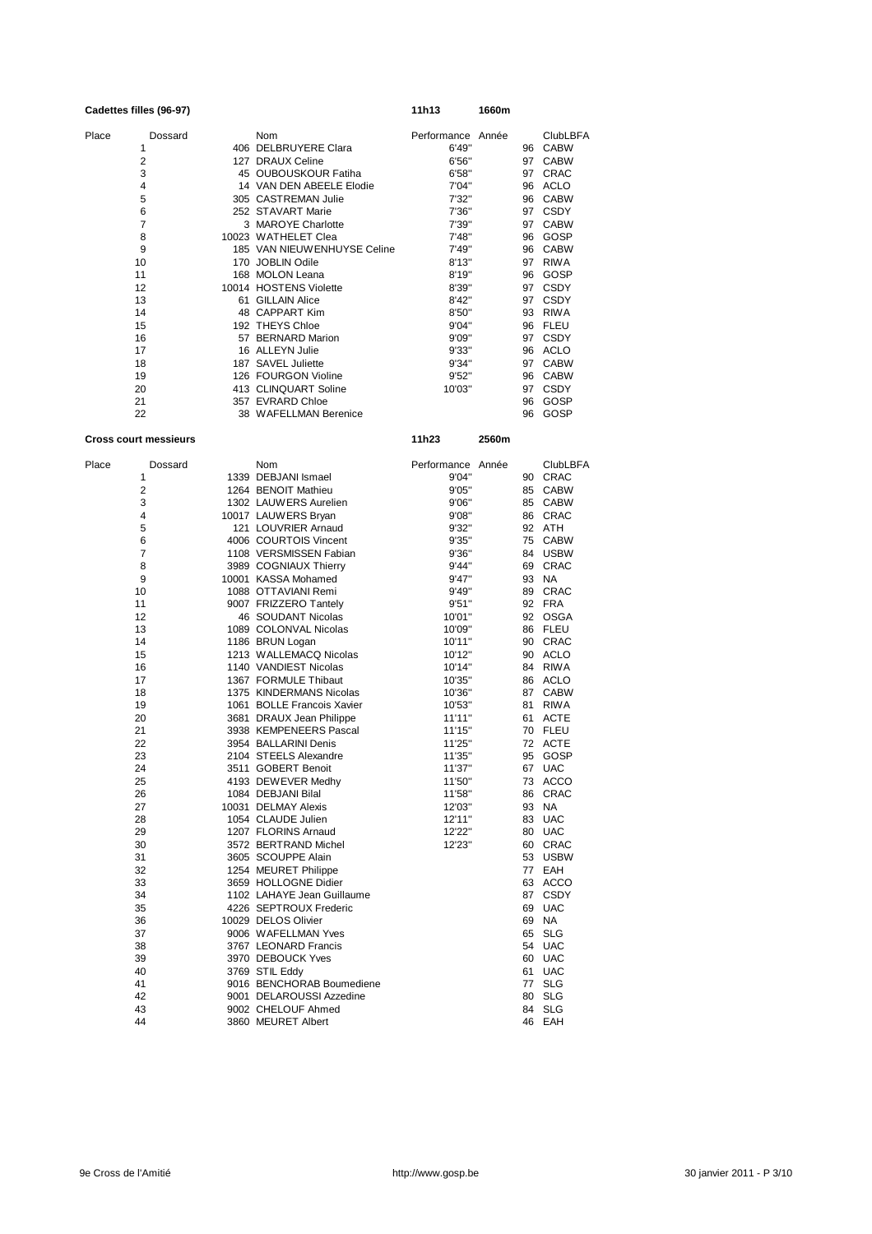| Cadettes filles (96-97) |         |                             | 11h13       | 1660m |    |                 |
|-------------------------|---------|-----------------------------|-------------|-------|----|-----------------|
| Place                   | Dossard | <b>Nom</b>                  | Performance | Année |    | <b>ClubLBFA</b> |
| 1                       | 406     | DELBRUYERE Clara            | 6'49"       |       | 96 | <b>CABW</b>     |
| $\overline{2}$          | 127     | <b>DRAUX Celine</b>         | 6'56"       |       | 97 | <b>CABW</b>     |
| 3                       |         | 45 OUBOUSKOUR Fatiha        | 6'58"       |       | 97 | <b>CRAC</b>     |
| 4                       |         | 14 VAN DEN ABEELE Elodie    | 7'04"       |       | 96 | <b>ACLO</b>     |
| 5                       |         | 305 CASTREMAN Julie         | 7'32"       |       | 96 | <b>CABW</b>     |
| 6                       |         | 252 STAVART Marie           | 7'36"       |       | 97 | <b>CSDY</b>     |
| $\overline{7}$          |         | 3 MAROYE Charlotte          | 7'39"       |       | 97 | <b>CABW</b>     |
| 8                       |         | 10023 WATHELET Clea         | 7'48"       |       | 96 | GOSP            |
| 9                       |         | 185 VAN NIEUWENHUYSE Celine | 7'49"       |       | 96 | <b>CABW</b>     |
| 10                      | 170     | JOBLIN Odile                | 8'13''      |       | 97 | <b>RIWA</b>     |
| 11                      |         | 168 MOLON Leana             | 8'19"       |       | 96 | GOSP            |
| 12                      |         | 10014 HOSTENS Violette      | 8'39"       |       | 97 | <b>CSDY</b>     |
| 13                      | 61      | <b>GILLAIN Alice</b>        | 8'42"       |       | 97 | <b>CSDY</b>     |
| 14                      | 48      | <b>CAPPART Kim</b>          | 8'50"       |       | 93 | <b>RIWA</b>     |
| 15                      |         | 192 THEYS Chloe             | 9'04"       |       | 96 | <b>FLEU</b>     |
| 16                      |         | 57 BERNARD Marion           | 9'09"       |       | 97 | <b>CSDY</b>     |
| 17                      |         | 16 ALLEYN Julie             | 9'33"       |       | 96 | <b>ACLO</b>     |
| 18                      |         | 187 SAVEL Juliette          | 9'34"       |       | 97 | <b>CABW</b>     |
| 19                      |         | 126 FOURGON Violine         | 9'52"       |       | 96 | <b>CABW</b>     |
| 20                      |         | 413 CLINQUART Soline        | 10'03"      |       | 97 | <b>CSDY</b>     |
| 21                      |         | 357 EVRARD Chloe            |             |       | 96 | GOSP            |
| 22                      |         | 38 WAFELLMAN Berenice       |             |       | 96 | GOSP            |

# **Cross court messieurs 11h23 2560m**

| Place | Dossard        | Nom                        | Performance Année |    | <b>ClubLBFA</b> |
|-------|----------------|----------------------------|-------------------|----|-----------------|
|       | 1              | 1339 DEBJANI Ismael        | 9'04"             |    | 90 CRAC         |
|       | 2              | 1264 BENOIT Mathieu        | 9'05"             | 85 | <b>CABW</b>     |
|       | 3              | 1302 LAUWERS Aurelien      | 9'06"             |    | 85 CABW         |
|       | 4              | 10017 LAUWERS Bryan        | 9'08"             |    | 86 CRAC         |
|       | 5              | 121 LOUVRIER Arnaud        | 9'32"             |    | 92 ATH          |
|       | 6              | 4006 COURTOIS Vincent      | 9'35"             |    | 75 CABW         |
|       | $\overline{7}$ | 1108 VERSMISSEN Fabian     | 9'36"             |    | 84 USBW         |
|       | 8              | 3989 COGNIAUX Thierry      | 9'44"             |    | 69 CRAC         |
|       | 9              | 10001 KASSA Mohamed        | 9'47"             |    | 93 NA           |
|       | 10             | 1088 OTTAVIANI Remi        | 9'49"             |    | 89 CRAC         |
|       | 11             | 9007 FRIZZERO Tantely      | 9'51"             |    | 92 FRA          |
|       | 12             | 46 SOUDANT Nicolas         | 10'01"            |    | 92 OSGA         |
|       | 13             | 1089 COLONVAL Nicolas      | 10'09"            |    | 86 FLEU         |
|       | 14             | 1186 BRUN Logan            | 10'11"            |    | 90 CRAC         |
|       | 15             | 1213 WALLEMACQ Nicolas     | 10'12"            |    | 90 ACLO         |
|       | 16             | 1140 VANDIEST Nicolas      | 10'14"            |    | 84 RIWA         |
|       | 17             | 1367 FORMULE Thibaut       | 10'35"            |    | 86 ACLO         |
|       | 18             | 1375 KINDERMANS Nicolas    | 10'36"            |    | 87 CABW         |
|       | 19             | 1061 BOLLE Francois Xavier | 10'53"            | 81 | <b>RIWA</b>     |
|       | 20             | 3681 DRAUX Jean Philippe   | 11'11"            | 61 | <b>ACTE</b>     |
|       | 21             | 3938 KEMPENEERS Pascal     | 11'15"            |    | 70 FLEU         |
|       | 22             | 3954 BALLARINI Denis       | 11'25"            |    | 72 ACTE         |
|       | 23             | 2104 STEELS Alexandre      | 11'35"            |    | 95 GOSP         |
|       | 24             | 3511 GOBERT Benoit         | 11'37"            |    | 67 UAC          |
|       | 25             | 4193 DEWEVER Medhy         | 11'50"            |    | 73 ACCO         |
|       | 26             | 1084 DEBJANI Bilal         | 11'58"            |    | 86 CRAC         |
|       | 27             | 10031 DELMAY Alexis        | 12'03"            |    | 93 NA           |
|       | 28             | 1054 CLAUDE Julien         | 12'11"            |    | 83 UAC          |
|       | 29             | 1207 FLORINS Arnaud        | 12'22"            |    | 80 UAC          |
|       | 30             | 3572 BERTRAND Michel       | 12'23"            | 60 | CRAC            |
|       | 31             | 3605 SCOUPPE Alain         |                   |    | 53 USBW         |
|       | 32             | 1254 MEURET Philippe       |                   |    | 77 EAH          |
|       | 33             | 3659 HOLLOGNE Didier       |                   |    | 63 ACCO         |
|       | 34             | 1102 LAHAYE Jean Guillaume |                   |    | 87 CSDY         |
|       | 35             | 4226 SEPTROUX Frederic     |                   | 69 | <b>UAC</b>      |
|       | 36             | 10029 DELOS Olivier        |                   | 69 | <b>NA</b>       |
|       | 37             | 9006 WAFELLMAN Yves        |                   | 65 | <b>SLG</b>      |
|       | 38             | 3767 LEONARD Francis       |                   | 54 | <b>UAC</b>      |
|       | 39             | 3970 DEBOUCK Yves          |                   |    | 60 UAC          |
|       | 40             | 3769 STIL Eddy             |                   | 61 | <b>UAC</b>      |
|       | 41             | 9016 BENCHORAB Boumediene  |                   | 77 | <b>SLG</b>      |
|       | 42             | 9001 DELAROUSSI Azzedine   |                   | 80 | <b>SLG</b>      |
|       | 43             | 9002 CHELOUF Ahmed         |                   | 84 | <b>SLG</b>      |
|       | 44             | 3860 MEURET Albert         |                   |    | 46 EAH          |
|       |                |                            |                   |    |                 |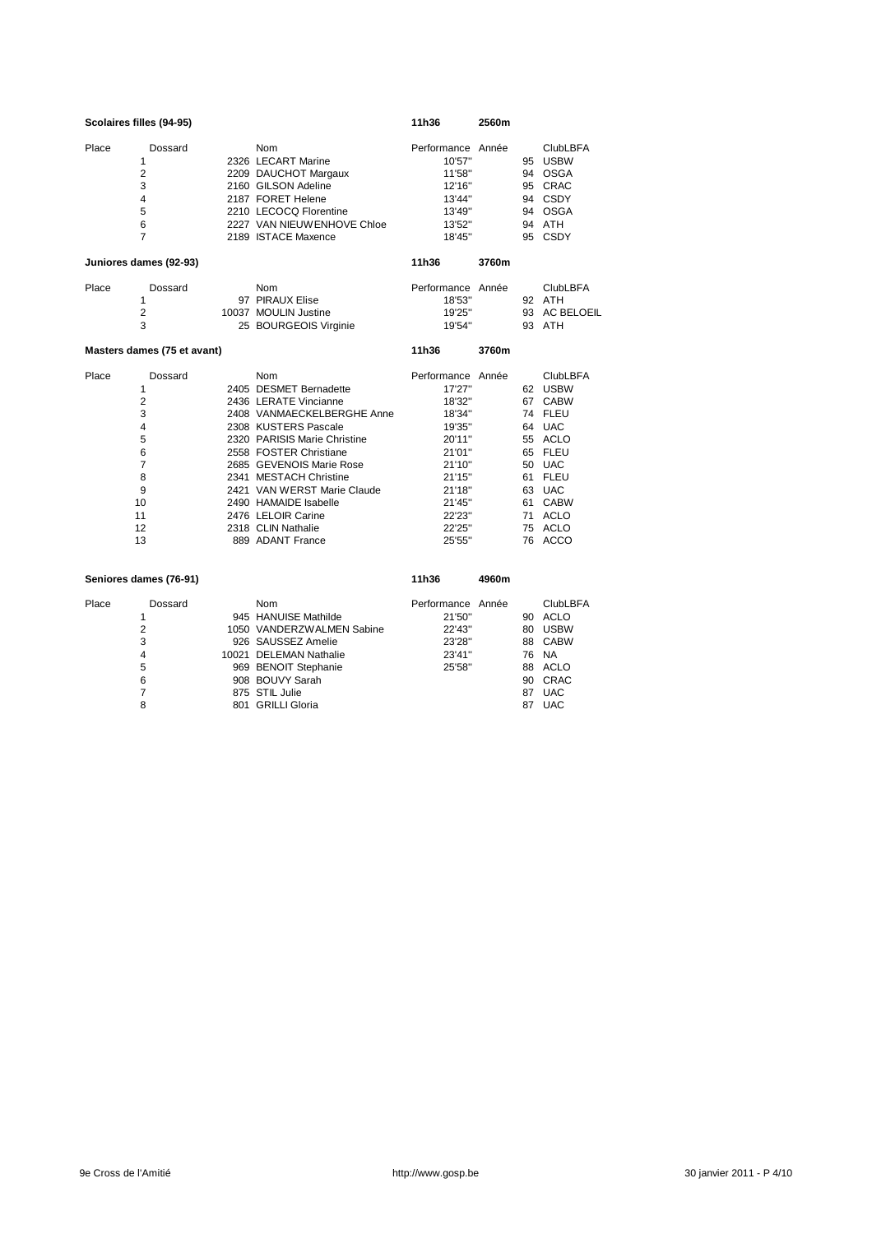|       | Scolaires filles (94-95)                                                                                            |                                                                                                                                                                                                                                                                                                                                                      | 11h36                                                                                                                                               | 2560m |                                                                                                                                                             |
|-------|---------------------------------------------------------------------------------------------------------------------|------------------------------------------------------------------------------------------------------------------------------------------------------------------------------------------------------------------------------------------------------------------------------------------------------------------------------------------------------|-----------------------------------------------------------------------------------------------------------------------------------------------------|-------|-------------------------------------------------------------------------------------------------------------------------------------------------------------|
| Place | Dossard<br>1<br>2<br>3<br>$\overline{4}$<br>5<br>6<br>$\overline{7}$                                                | Nom<br>2326 LECART Marine<br>2209 DAUCHOT Margaux<br>2160 GILSON Adeline<br>2187 FORET Helene<br>2210 LECOCQ Florentine<br>2227 VAN NIEUWENHOVE Chloe<br>2189 ISTACE Maxence                                                                                                                                                                         | Performance Année<br>10'57"<br>11'58"<br>12'16"<br>13'44"<br>13'49"<br>13'52"<br>18'45"                                                             |       | <b>ClubLBFA</b><br>95 USBW<br>94 OSGA<br>95 CRAC<br>94 CSDY<br>94 OSGA<br>94 ATH<br>95 CSDY                                                                 |
|       | Juniores dames (92-93)                                                                                              |                                                                                                                                                                                                                                                                                                                                                      | 11h36                                                                                                                                               | 3760m |                                                                                                                                                             |
| Place | Dossard<br>1<br>$\overline{2}$<br>3                                                                                 | Nom<br>97 PIRAUX Elise<br>10037 MOULIN Justine<br>25 BOURGEOIS Virginie                                                                                                                                                                                                                                                                              | Performance Année<br>18'53"<br>19'25"<br>19'54"                                                                                                     |       | <b>ClubLBFA</b><br>92 ATH<br>93 AC BELOEIL<br>93 ATH                                                                                                        |
|       | Masters dames (75 et avant)                                                                                         |                                                                                                                                                                                                                                                                                                                                                      | 11h36                                                                                                                                               | 3760m |                                                                                                                                                             |
| Place | Dossard<br>1<br>$\overline{2}$<br>3<br>$\overline{4}$<br>5<br>6<br>$\overline{7}$<br>8<br>9<br>10<br>11<br>12<br>13 | Nom<br>2405 DESMET Bernadette<br>2436 LERATE Vincianne<br>2408 VANMAECKELBERGHE Anne<br>2308 KUSTERS Pascale<br>2320 PARISIS Marie Christine<br>2558 FOSTER Christiane<br>2685 GEVENOIS Marie Rose<br>2341 MESTACH Christine<br>2421 VAN WERST Marie Claude<br>2490 HAMAIDE Isabelle<br>2476 LELOIR Carine<br>2318 CLIN Nathalie<br>889 ADANT France | Performance Année<br>17'27"<br>18'32"<br>18'34"<br>19'35"<br>20'11"<br>21'01"<br>21'10"<br>21'15"<br>21'18"<br>21'45"<br>22'23"<br>22'25"<br>25'55" |       | <b>ClubLBFA</b><br>62 USBW<br>67 CABW<br>74 FLEU<br>64 UAC<br>55 ACLO<br>65 FLEU<br>50 UAC<br>61 FLEU<br>63 UAC<br>61 CABW<br>71 ACLO<br>75 ACLO<br>76 ACCO |
|       | Seniores dames (76-91)                                                                                              |                                                                                                                                                                                                                                                                                                                                                      | 11h36                                                                                                                                               | 4960m |                                                                                                                                                             |
| Place | Dossard<br>1<br>C                                                                                                   | Nom<br>945 HANUISE Mathilde<br>1050 VANDERZWALMEN Sabine                                                                                                                                                                                                                                                                                             | Performance Année<br>21'50"<br>つつ'ハマ"                                                                                                               |       | <b>ClubLBFA</b><br>90 ACLO<br>$RO$ $IIRNN$                                                                                                                  |

|   | 945 HANUISE Mathilde      | 21'50" |    | 90 ACLO    |
|---|---------------------------|--------|----|------------|
| 2 | 1050 VANDERZWALMEN Sabine | 22'43" |    | 80 USBW    |
| 3 | 926 SAUSSEZ Amelie        | 23'28" |    | 88 CABW    |
| 4 | 10021 DELEMAN Nathalie    | 23'41" |    | 76 NA      |
| 5 | 969 BENOIT Stephanie      | 25'58" |    | 88 ACLO    |
| 6 | 908 BOUVY Sarah           |        |    | 90 CRAC    |
|   | 875 STIL Julie            |        |    | 87 UAC     |
| 8 | 801 GRILLI Gloria         |        | 87 | <b>UAC</b> |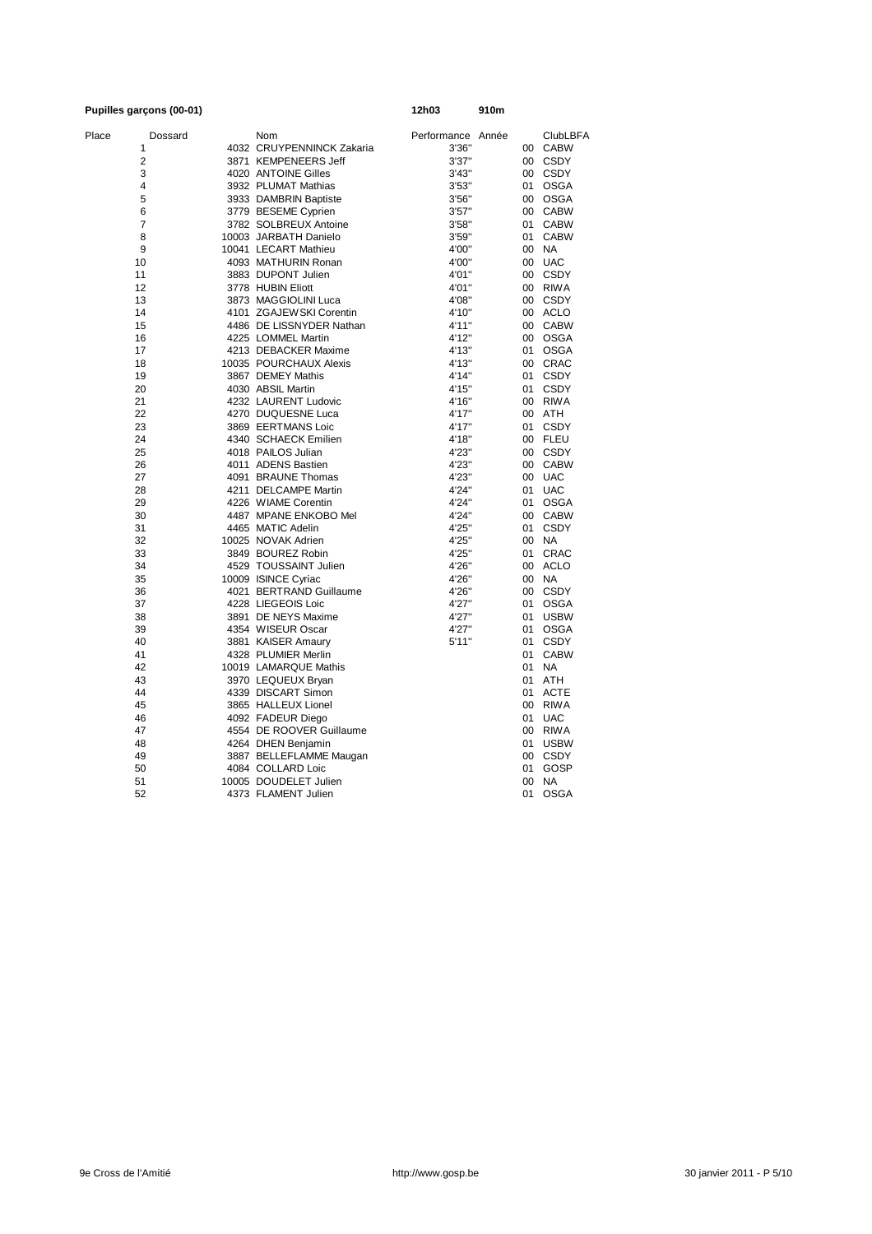| Pupilles garçons (00-01) |         |                                            | 12h03             | 910m |         |                    |
|--------------------------|---------|--------------------------------------------|-------------------|------|---------|--------------------|
| Place                    | Dossard | Nom                                        | Performance Année |      |         | <b>ClubLBFA</b>    |
| 1                        |         | 4032 CRUYPENNINCK Zakaria                  | 3'36"             |      |         | 00 CABW            |
| $\overline{2}$           |         | 3871 KEMPENEERS Jeff                       | 3'37''            |      |         | 00 CSDY            |
| 3                        |         | 4020 ANTOINE Gilles                        | 3'43''            |      |         | 00 CSDY            |
| 4                        |         | 3932 PLUMAT Mathias                        | 3'53''            |      |         | 01 OSGA            |
| 5                        |         | 3933 DAMBRIN Baptiste                      | 3'56"             |      |         | 00 OSGA            |
| 6                        |         | 3779 BESEME Cyprien                        | 3'57''            |      |         | 00 CABW            |
| $\overline{7}$           |         | 3782 SOLBREUX Antoine                      | 3'58"             |      |         | 01 CABW            |
| 8                        |         | 10003 JARBATH Danielo                      | 3'59"             |      |         | 01 CABW            |
| 9                        |         | 10041 LECART Mathieu                       | 4'00"             |      |         | 00 NA              |
| 10                       |         | 4093 MATHURIN Ronan                        | 4'00"             |      |         | 00 UAC             |
| 11                       |         | 3883 DUPONT Julien                         | 4'01"             |      |         | 00 CSDY            |
| 12                       |         | 3778 HUBIN Eliott                          | 4'01"             |      |         | 00 RIWA            |
| 13                       |         | 3873 MAGGIOLINI Luca                       | 4'08"             |      |         | 00 CSDY            |
| 14<br>15                 |         | 4101 ZGAJEW SKI Corentin                   | 4'10"<br>4'11"    |      |         | 00 ACLO<br>00 CABW |
|                          |         | 4486 DE LISSNYDER Nathan                   |                   |      |         |                    |
| 16                       |         | 4225 LOMMEL Martin<br>4213 DEBACKER Maxime | 4'12"             |      |         | 00 OSGA            |
| 17<br>18                 |         | 10035 POURCHAUX Alexis                     | 4'13"<br>4'13"    |      |         | 01 OSGA<br>00 CRAC |
| 19                       |         | 3867 DEMEY Mathis                          | 4'14"             |      |         | 01 CSDY            |
| 20                       |         | 4030 ABSIL Martin                          | 4'15"             |      |         | 01 CSDY            |
| 21                       |         | 4232 LAURENT Ludovic                       | 4'16"             |      |         | 00 RIWA            |
| 22                       |         | 4270 DUQUESNE Luca                         | 4'17"             |      |         | 00 ATH             |
| 23                       |         | 3869 EERTMANS Loic                         | 4'17"             |      |         | 01 CSDY            |
| 24                       |         | 4340 SCHAECK Emilien                       | 4'18"             |      |         | 00 FLEU            |
| 25                       |         | 4018 PAILOS Julian                         | 4'23"             |      |         | 00 CSDY            |
| 26                       |         | 4011 ADENS Bastien                         | 4'23"             |      |         | 00 CABW            |
| 27                       |         | 4091 BRAUNE Thomas                         | 4'23"             |      |         | 00 UAC             |
| 28                       |         | 4211 DELCAMPE Martin                       | 4'24"             |      |         | 01 UAC             |
| 29                       |         | 4226 WIAME Corentin                        | 4'24"             |      | 01      | OSGA               |
| 30                       |         | 4487 MPANE ENKOBO Mel                      | 4'24"             |      |         | 00 CABW            |
| 31                       |         | 4465 MATIC Adelin                          | 4'25"             |      | 01      | <b>CSDY</b>        |
| 32                       |         | 10025 NOVAK Adrien                         | 4'25"             |      |         | 00 NA              |
| 33                       |         | 3849 BOUREZ Robin                          | 4'25"             |      | 01      | CRAC               |
| 34                       |         | 4529 TOUSSAINT Julien                      | 4'26"             |      |         | 00 ACLO            |
| 35                       |         | 10009 ISINCE Cyriac                        | 4'26"             |      |         | 00 NA              |
| 36                       |         | 4021 BERTRAND Guillaume                    | 4'26"             |      |         | 00 CSDY            |
| 37                       |         | 4228 LIEGEOIS Loic                         | 4'27"             |      | 01      | OSGA               |
| 38                       |         | 3891 DE NEYS Maxime                        | 4'27"             |      | 01      | <b>USBW</b>        |
| 39                       |         | 4354 WISEUR Oscar                          | 4'27"             |      | 01      | <b>OSGA</b>        |
| 40                       |         | 3881 KAISER Amaury                         | 5'11''            |      |         | 01 CSDY            |
| 41                       |         | 4328 PLUMIER Merlin                        |                   |      | 01      | <b>CABW</b>        |
| 42                       |         | 10019 LAMARQUE Mathis                      |                   |      | 01      | <b>NA</b>          |
| 43                       |         | 3970 LEQUEUX Bryan                         |                   |      | 01      | <b>ATH</b>         |
| 44                       |         | 4339 DISCART Simon                         |                   |      |         | 01 ACTE            |
| 45                       |         | 3865 HALLEUX Lionel                        |                   |      |         | 00 RIWA            |
| 46                       |         | 4092 FADEUR Diego                          |                   |      | 01      | <b>UAC</b>         |
| 47                       |         | 4554 DE ROOVER Guillaume                   |                   |      |         | 00 RIWA            |
| 48                       |         | 4264 DHEN Benjamin                         |                   |      | 01      | <b>USBW</b>        |
| 49                       |         | 3887 BELLEFLAMME Maugan                    |                   |      |         | 00 CSDY            |
| 50                       |         | 4084 COLLARD Loic                          |                   |      | 01      | GOSP               |
| 51                       |         | 10005 DOUDELET Julien                      |                   |      | $00 \,$ | <b>NA</b>          |
| 52                       |         | 4373 FLAMENT Julien                        |                   |      | 01      | <b>OSGA</b>        |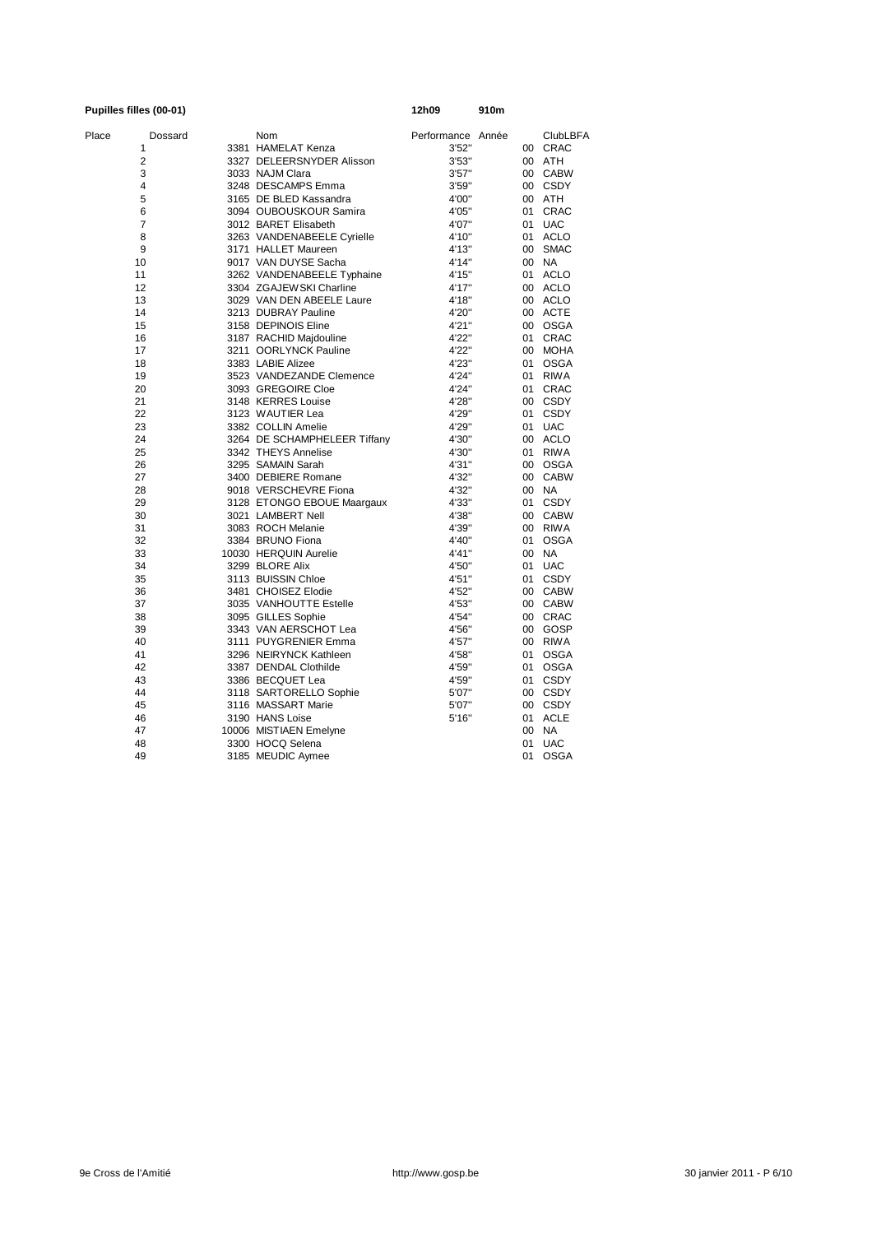### **Pupilles filles (00-01) 12h09 910m** Place Dossard Nom Nom Performance Année ClubLBFA<br>1 3381 HAMELAT Kenza 1 3'52" 00 CRAC 1 3381 HAMELAT Kenza 3'52'' 00 CRAC 2 3327 DELEERSNYDER Alisson 3'53" 00 ATH<br>3 3033 NAJM Clara 3'57" 00 CABW 3 3033 NAJM Clara 3157" 00 CABW<br>4 3248 DESCAMPS Emma 3'59" 00 CSDY 4 3248 DESCAMPS Emma 3'59" 00 CSD<br>5 3165 DE BLED Kassandra 4'00" 00 ATH 5 3165 DE BLED Kassandra 4'00'' 00 ATH 6 3094 OUBOUSKOUR Samira 4'05'' 01 CRAC 7 3012 BARET Elisabeth 4'07" 01 UAC<br>8 3263 VANDENABEELE Cyrielle 4'10" 01 ACLO 8 3263 VANDENABEELE Cyrielle 4'10'' 01 ACLO 9 3171 HALLET Maureen 4'13" 00 SM.<br>10 9017 VAN DUYSE Sacha 4'14" 00 NA 9017 VAN DUYSE Sacha 11 3262 VANDENABEELE Typhaine 4'15" 01 ACLO<br>12 3304 ZGAJEWSKI Charline 4'17" 00 ACLO 12 3304 ZGAJEWSKI Charline 4'17" 00 ACLO<br>12 3029 VAN DEN ABEELE Laure 4'18" 00 ACLO 13 3029 VAN DEN ABEELE Laure 4'18" 00 ACLO<br>14 3213 DUBRAY Pauline 4'20" 00 ACTE 3213 DUBRAY Pauline 15 3158 DEPINOIS Eline 1991 4'21" 00 OSGA<br>16 3187 RACHID Majdouline 122" 01 CRAC 16 3187 RACHID Majdouline 4'22'' 01 CRAC 17 3211 OORLYNCK Pauline 4'22'' 00 MOHA 18 18 3383 LABIE Alizee 4'23" 01 OSGA<br>1923 VANDEZANDE Clemence 4'24" 01 RIWA 19 3523 VANDEZANDE Clemence 4'24" 01 RIWA<br>20 3093 GREGOIRE Cloe 4'24" 01 CRAC 20 3093 GREGOIRE Cloe 4'24'' 01 CRAC 21 3148 KERRES Louise 4'28" 00 CSDY<br>22 3123 WALITIER Lea 4'29" 01 CSDY 22 3123 WAUTIER Lea 4'29'' 01 CSDY 23 3382 COLLIN Amelie 4'29" 01 UAC<br>24 3264 DE SCHAMPHELEER Tiffany 4'30" 00 ACLO 24 3264 DE SCHAMPHELEER Tiffany 4'30" 00 ACLO<br>25 3342 THEYS Annelise 4'30" 01 RIWA 25 3342 THEYS Annelise 4'30'' 01 RIWA 26 3295 SAMAIN Sarah 4'31'' 00 OSGA 27 3400 DEBIERE Romane 4'32" 00 CAI<br>28 9018 VERSCHEVRE Fiona 4'32" 00 NA 28 9018 VERSCHEVRE Fiona 1921 900 NA<br>29 3128 ETONGO EBOUE Maargaux 4'33" 01 CSDY 29 3128 ETONGO EBOUE Maargaux 4'33" 01 CSDY<br>30 3021 LAMBERT Nell 4'38" 00 CABW 30 3021 LAMBERT Nell  $\frac{30}{31}$  4'38" 00 CABW<br>31 3083 ROCH Melanie 4'39" 00 RIWA 3083 ROCH Melanie 4'39" 00<br>3384 BRUNO Fiona 4'40" 01 32 3384 BRUNO Fiona 4'40'' 01 OSGA 33 10030 HERQUIN Aurelie 4'41'' 00 NA 34 3299 BLORE Alix 4'50" 01 UAC 35 3113 BUISSIN Chloe 4'51" 01 CSDY 36 3481 CHOISEZ Elodie 4'52'' 00 CABW 37 3035 VANHOUTTE Estelle 4'53'' 00 CABW 3095 GILLES Sophie<br>3343 VAN AERSCHOT Lea 4'56" 00 GOSP 39 343 VAN AERSCHOT Lea 4'56" 00 GOSP<br>40 3111 PUYGRENIER Emma 4'57" 00 RIWA 40 3111 PUYGRENIER Emma 4'57'' 00 RIWA 41 3296 NEIRYNCK Kathleen 4'58'' 01 OSGA 42 3387 DENDAL Clothilde 4'59'' 01 OSGA 3386 BECQUET Lea  $4'59''$  01 CSDY<br>3118 SARTORELLO Sophie 5'07" 00 CSDY 44 3118 SARTORELLO Sophie 5'07" 00 CSDY<br>45 3116 MASSART Marie 5'07" 00 CSDY 4116 MASSART Marie 1999<br>
4190 HANS Loise 1999<br>
5'16" 01 ACLE 46 3190 HANS Loise 5'16" 47 10006 MISTIAEN Emelyne 1999 1999 1999 1000 NA<br>48 3300 HOCQ Selena 1999 1999 101 UAC 3300 HOCQ Selena 49 3185 MEUDIC Aymee 01 03GA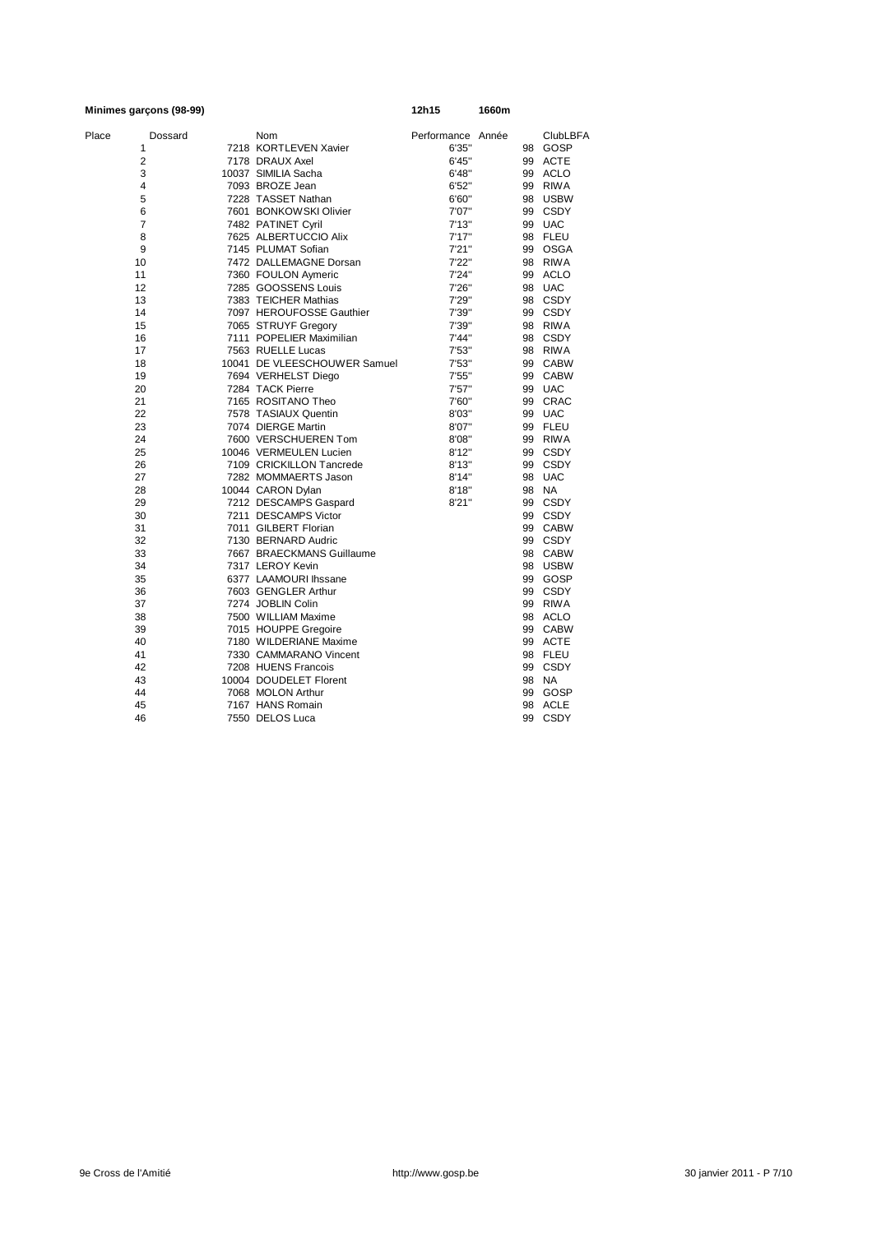|                | Minimes garçons (98-99) |                              | 12h15             | 1660m |    |                 |
|----------------|-------------------------|------------------------------|-------------------|-------|----|-----------------|
| Place          | Dossard                 | Nom                          | Performance Année |       |    | <b>ClubLBFA</b> |
| 1              |                         | 7218 KORTLEVEN Xavier        | 6'35"             |       |    | 98 GOSP         |
| $\overline{2}$ |                         | 7178 DRAUX Axel              | 6'45''            |       |    | 99 ACTE         |
| 3              |                         | 10037 SIMILIA Sacha          | 6'48"             |       |    | 99 ACLO         |
| 4              |                         | 7093 BROZE Jean              | 6'52"             |       |    | 99 RIWA         |
| 5              |                         | 7228 TASSET Nathan           | 6'60"             |       |    | 98 USBW         |
| 6              |                         | 7601 BONKOWSKI Olivier       | 7'07"             |       |    | 99 CSDY         |
| 7              |                         | 7482 PATINET Cyril           | 7'13''            |       |    | 99 UAC          |
| 8              |                         | 7625 ALBERTUCCIO Alix        | 7'17''            |       |    | 98 FLEU         |
| 9              |                         | 7145 PLUMAT Sofian           | 7'21''            |       |    | 99 OSGA         |
| 10             |                         | 7472 DALLEMAGNE Dorsan       | 7'22"             |       |    | 98 RIWA         |
| 11             |                         | 7360 FOULON Aymeric          | 7'24"             |       |    | 99 ACLO         |
| 12             |                         | 7285 GOOSSENS Louis          | 7'26"             |       |    | 98 UAC          |
| 13             |                         | 7383 TEICHER Mathias         | 7'29"             |       |    | 98 CSDY         |
| 14             |                         | 7097 HEROUFOSSE Gauthier     | 7'39"             |       |    | 99 CSDY         |
| 15             |                         | 7065 STRUYF Gregory          | 7'39"             |       |    | 98 RIWA         |
| 16             |                         | 7111 POPELIER Maximilian     | 7'44"             |       |    | 98 CSDY         |
| 17             |                         | 7563 RUELLE Lucas            | 7'53"             |       |    | 98 RIWA         |
| 18             |                         | 10041 DE VLEESCHOUWER Samuel | 7'53"             |       |    | 99 CABW         |
| 19             |                         | 7694 VERHELST Diego          | 7'55"             |       |    | 99 CABW         |
| 20             |                         | 7284 TACK Pierre             | 7'57"             |       |    | 99 UAC          |
| 21             |                         | 7165 ROSITANO Theo           | 7'60"             |       |    | 99 CRAC         |
| 22             |                         | 7578 TASIAUX Quentin         | 8'03"             |       |    | 99 UAC          |
| 23             |                         | 7074 DIERGE Martin           | 8'07"             |       |    | 99 FLEU         |
| 24             |                         | 7600 VERSCHUEREN Tom         | 8'08"             |       |    | 99 RIWA         |
| 25             |                         | 10046 VERMEULEN Lucien       | 8'12"             |       |    | 99 CSDY         |
| 26             |                         | 7109 CRICKILLON Tancrede     | 8'13''            |       |    | 99 CSDY         |
| 27             |                         | 7282 MOMMAERTS Jason         | 8'14"             |       |    | 98 UAC          |
| 28             |                         | 10044 CARON Dylan            | 8'18"             |       |    | 98 NA           |
| 29             |                         | 7212 DESCAMPS Gaspard        | 8'21"             |       |    | 99 CSDY         |
| 30             |                         | 7211 DESCAMPS Victor         |                   |       |    | 99 CSDY         |
| 31             |                         | 7011 GILBERT Florian         |                   |       |    | 99 CABW         |
| 32             |                         | 7130 BERNARD Audric          |                   |       |    | 99 CSDY         |
| 33             |                         | 7667 BRAECKMANS Guillaume    |                   |       |    | 98 CABW         |
| 34             |                         | 7317 LEROY Kevin             |                   |       |    | 98 USBW         |
| 35             |                         | 6377 LAAMOURI Ihssane        |                   |       |    | 99 GOSP         |
| 36             |                         | 7603 GENGLER Arthur          |                   |       |    | 99 CSDY         |
| 37             |                         | 7274 JOBLIN Colin            |                   |       |    | 99 RIWA         |
| 38             |                         | 7500 WILLIAM Maxime          |                   |       |    | 98 ACLO         |
| 39             |                         | 7015 HOUPPE Gregoire         |                   |       |    | 99 CABW         |
| 40             |                         | 7180 WILDERIANE Maxime       |                   |       |    | 99 ACTE         |
| 41             |                         | 7330 CAMMARANO Vincent       |                   |       |    | 98 FLEU         |
| 42             |                         | 7208 HUENS Francois          |                   |       |    | 99 CSDY         |
| 43             |                         | 10004 DOUDELET Florent       |                   |       |    | 98 NA           |
| 44             |                         | 7068 MOLON Arthur            |                   |       |    | 99 GOSP         |
| 45             |                         | 7167 HANS Romain             |                   |       | 98 | <b>ACLE</b>     |
| 46             |                         | 7550 DELOS Luca              |                   |       | 99 | CSDY            |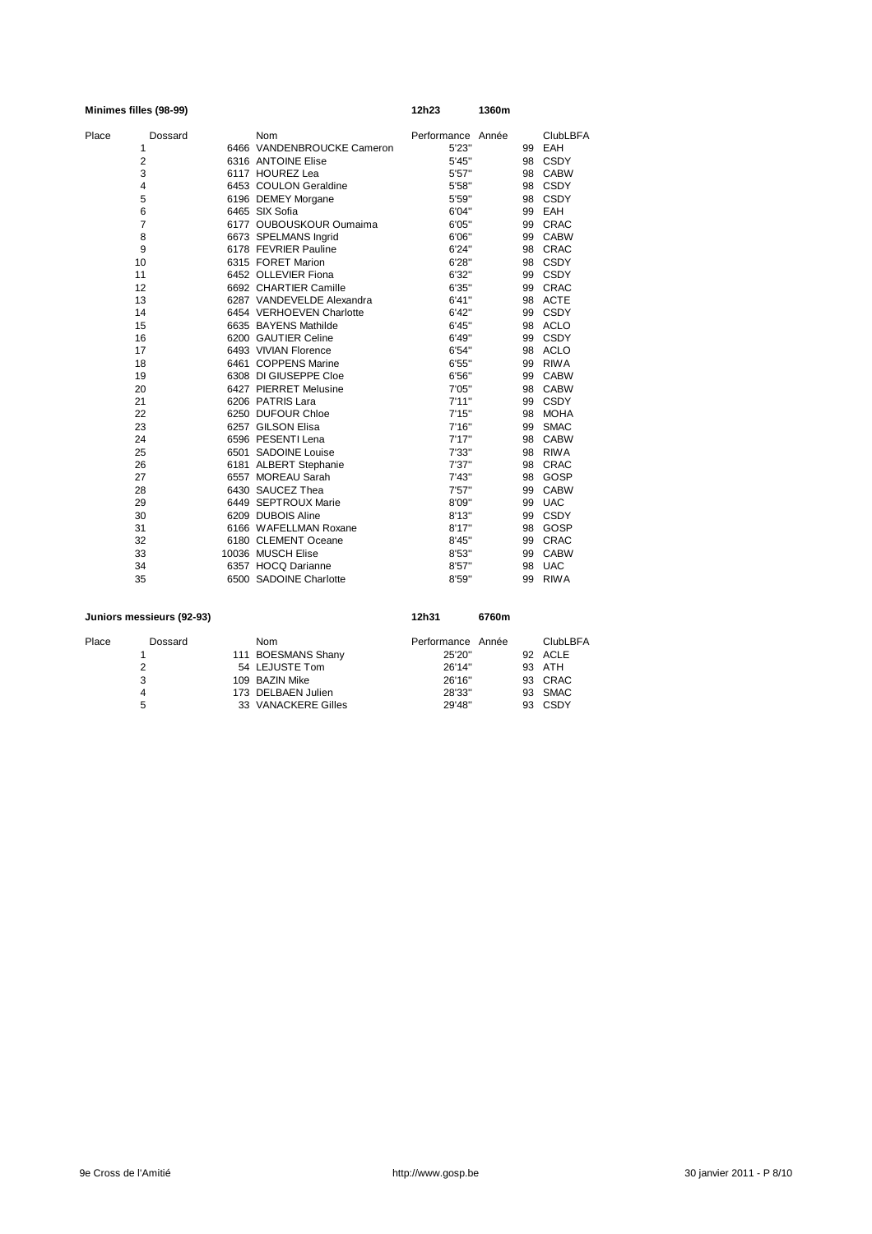|       | Minimes filles (98-99) |                            | 12h23             | 1360m |    |                 |
|-------|------------------------|----------------------------|-------------------|-------|----|-----------------|
| Place | Dossard                | Nom                        | Performance Année |       |    | <b>ClubLBFA</b> |
|       | 1                      | 6466 VANDENBROUCKE Cameron | 5'23"             |       | 99 | EAH             |
|       | $\overline{2}$         | 6316 ANTOINE Elise         | 5'45"             |       | 98 | CSDY            |
|       | 3                      | 6117 HOUREZ Lea            | 5'57"             |       | 98 | <b>CABW</b>     |
|       | 4                      | 6453 COULON Geraldine      | 5'58"             |       | 98 | CSDY            |
|       | 5                      | 6196 DEMEY Morgane         | 5'59"             |       | 98 | CSDY            |
|       | 6                      | 6465 SIX Sofia             | 6'04"             |       | 99 | EAH             |
|       | $\overline{7}$         | 6177 OUBOUSKOUR Oumaima    | 6'05"             |       | 99 | CRAC            |
|       | 8                      | 6673 SPELMANS Ingrid       | 6'06"             |       | 99 | <b>CABW</b>     |
|       | 9                      | 6178 FEVRIER Pauline       | 6'24"             |       | 98 | CRAC            |
|       | 10                     | 6315 FORET Marion          | 6'28"             |       | 98 | CSDY            |
|       | 11                     | 6452 OLLEVIER Fiona        | 6'32"             |       | 99 | CSDY            |
|       | 12                     | 6692 CHARTIER Camille      | 6'35"             |       | 99 | CRAC            |
|       | 13                     | 6287 VANDEVELDE Alexandra  | 6'41''            |       | 98 | <b>ACTE</b>     |
|       | 14                     | 6454 VERHOEVEN Charlotte   | 6'42"             |       | 99 | CSDY            |
|       | 15                     | 6635 BAYENS Mathilde       | 6'45''            |       |    | 98 ACLO         |
|       | 16                     | 6200 GAUTIER Celine        | 6'49"             |       | 99 | CSDY            |
|       | 17                     | 6493 VIVIAN Florence       | 6'54"             |       |    | 98 ACLO         |
|       | 18                     | 6461 COPPENS Marine        | 6'55''            |       | 99 | <b>RIWA</b>     |
|       | 19                     | 6308 DI GIUSEPPE Cloe      | 6'56"             |       | 99 | <b>CABW</b>     |
|       | 20                     | 6427 PIERRET Melusine      | 7'05"             |       | 98 | <b>CABW</b>     |
|       | 21                     | 6206 PATRIS Lara           | 7'11''            |       | 99 | CSDY            |
|       | 22                     | 6250 DUFOUR Chloe          | 7'15''            |       | 98 | <b>MOHA</b>     |
|       | 23                     | 6257 GILSON Elisa          | 7'16''            |       | 99 | <b>SMAC</b>     |
|       | 24                     | 6596 PESENTI Lena          | 7'17''            |       | 98 | <b>CABW</b>     |
|       | 25                     | 6501 SADOINE Louise        | 7'33"             |       | 98 | <b>RIWA</b>     |
|       | 26                     | 6181 ALBERT Stephanie      | 7'37"             |       | 98 | CRAC            |
|       | 27                     | 6557 MOREAU Sarah          | 7'43"             |       | 98 | GOSP            |
|       | 28                     | 6430 SAUCEZ Thea           | 7'57"             |       | 99 | <b>CABW</b>     |
|       | 29                     | 6449 SEPTROUX Marie        | 8'09"             |       | 99 | <b>UAC</b>      |
|       | 30                     | 6209 DUBOIS Aline          | 8'13''            |       | 99 | CSDY            |
|       | 31                     | 6166 WAFELLMAN Roxane      | 8'17''            |       | 98 | GOSP            |
|       | 32                     | 6180 CLEMENT Oceane        | 8'45"             |       | 99 | <b>CRAC</b>     |
|       | 33                     | 10036 MUSCH Elise          | 8'53"             |       | 99 | <b>CABW</b>     |
|       | 34                     | 6357 HOCQ Darianne         | 8'57"             |       | 98 | <b>UAC</b>      |
|       | 35                     | 6500 SADOINE Charlotte     | 8'59"             |       | 99 | <b>RIWA</b>     |

| Juniors messieurs (92-93) |  |            |                                                                                                     | 6760m |                   |                 |
|---------------------------|--|------------|-----------------------------------------------------------------------------------------------------|-------|-------------------|-----------------|
| Dossard                   |  | <b>Nom</b> |                                                                                                     |       |                   | <b>ClubLBFA</b> |
|                           |  |            | 25'20"                                                                                              |       |                   | 92 ACLE         |
| 2                         |  |            | 26'14"                                                                                              |       |                   | 93 ATH          |
| 3                         |  |            | 26'16"                                                                                              |       |                   | 93 CRAC         |
| 4                         |  |            | 28'33"                                                                                              |       |                   | 93 SMAC         |
| 5                         |  |            | 29'48"                                                                                              |       |                   | 93 CSDY         |
|                           |  |            | 111 BOESMANS Shany<br>54 LEJUSTE Tom<br>109 BAZIN Mike<br>173 DELBAEN Julien<br>33 VANACKERE Gilles | 12h31 | Performance Année |                 |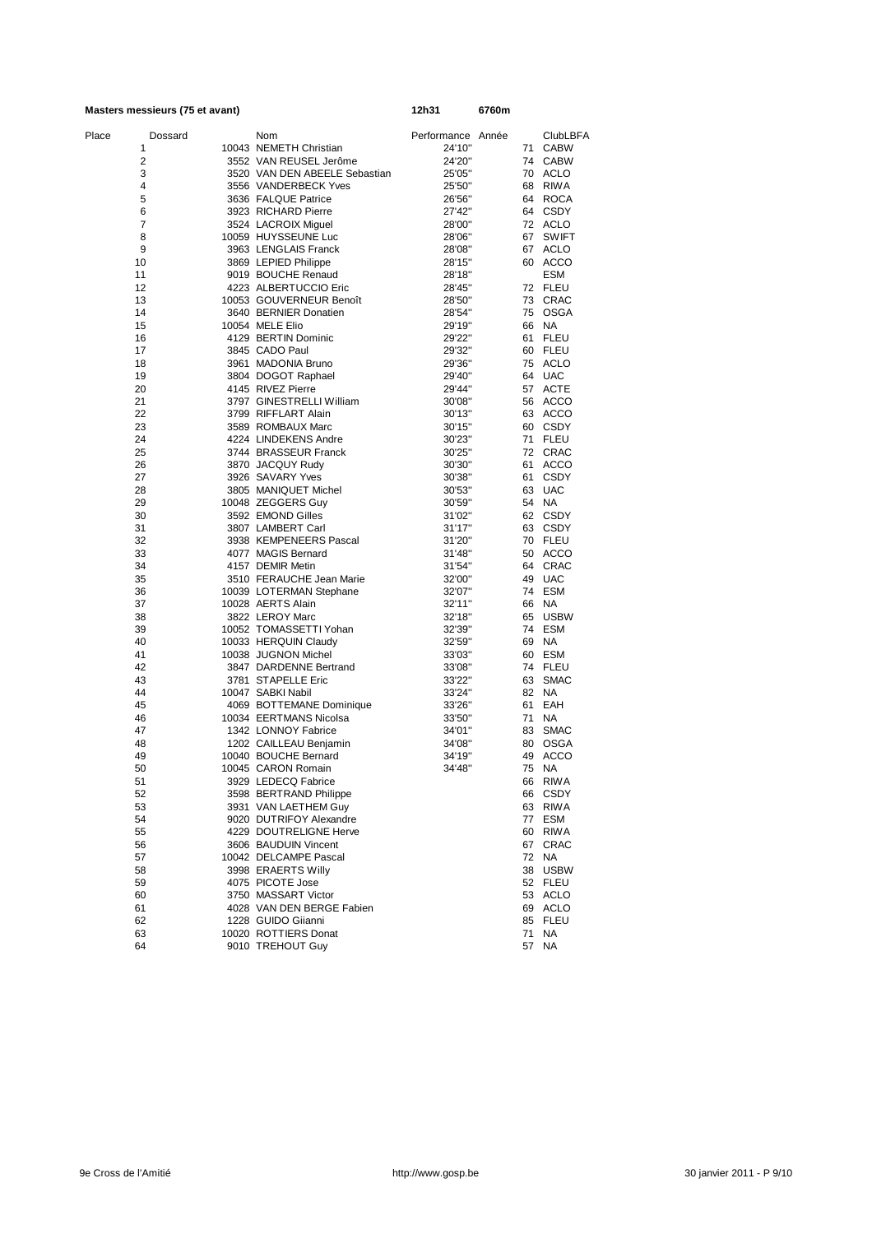|       | Masters messieurs (75 et avant) |                                                | 12h31             | 6760m |       |                       |
|-------|---------------------------------|------------------------------------------------|-------------------|-------|-------|-----------------------|
| Place | Dossard                         | Nom                                            | Performance Année |       |       | <b>ClubLBFA</b>       |
|       | 1                               | 10043 NEMETH Christian                         | 24'10"            |       |       | 71 CABW               |
|       | $\overline{2}$                  | 3552 VAN REUSEL Jerôme                         | 24'20"            |       |       | 74 CABW               |
|       | 3                               | 3520 VAN DEN ABEELE Sebastian                  | 25'05"            |       |       | 70 ACLO               |
|       | 4                               | 3556 VANDERBECK Yves                           | 25'50"            |       |       | 68 RIWA               |
|       | 5                               | 3636 FALQUE Patrice                            | 26'56"            |       |       | 64 ROCA               |
|       | 6                               | 3923 RICHARD Pierre                            | 27'42"            |       |       | 64 CSDY               |
|       | 7                               | 3524 LACROIX Miguel                            | 28'00"            |       |       | 72 ACLO               |
|       | 8                               | 10059 HUYSSEUNE Luc                            | 28'06"            |       |       | 67 SWIFT              |
|       | 9<br>10                         | 3963 LENGLAIS Franck                           | 28'08"            |       |       | 67 ACLO               |
|       | 11                              | 3869 LEPIED Philippe<br>9019 BOUCHE Renaud     | 28'15"<br>28'18"  |       |       | 60 ACCO<br><b>ESM</b> |
|       | 12                              | 4223 ALBERTUCCIO Eric                          | 28'45"            |       |       | 72 FLEU               |
|       | 13                              | 10053 GOUVERNEUR Benoît                        | 28'50"            |       |       | 73 CRAC               |
|       | 14                              | 3640 BERNIER Donatien                          | 28'54"            |       |       | 75 OSGA               |
|       | 15                              | 10054 MELE Elio                                | 29'19"            |       | 66 NA |                       |
|       | 16                              | 4129 BERTIN Dominic                            | 29'22"            |       |       | 61 FLEU               |
|       | 17                              | 3845 CADO Paul                                 | 29'32"            |       |       | 60 FLEU               |
|       | 18                              | 3961 MADONIA Bruno                             | 29'36"            |       |       | 75 ACLO               |
|       | 19                              | 3804 DOGOT Raphael                             | 29'40"            |       |       | 64 UAC                |
|       | 20                              | 4145 RIVEZ Pierre                              | 29'44"            |       |       | 57 ACTE               |
|       | 21                              | 3797 GINESTRELLI William                       | 30'08"            |       |       | 56 ACCO               |
|       | 22                              | 3799 RIFFLART Alain                            | 30'13"            |       |       | 63 ACCO               |
|       | 23                              | 3589 ROMBAUX Marc<br>4224 LINDEKENS Andre      | 30'15"<br>30'23"  |       |       | 60 CSDY<br>71 FLEU    |
|       | 24<br>25                        | 3744 BRASSEUR Franck                           | 30'25"            |       |       | 72 CRAC               |
|       | 26                              | 3870 JACQUY Rudy                               | 30'30"            |       | 61    | ACCO                  |
|       | 27                              | 3926 SAVARY Yves                               | 30'38"            |       | 61    | <b>CSDY</b>           |
|       | 28                              | 3805 MANIQUET Michel                           | 30'53"            |       |       | 63 UAC                |
|       | 29                              | 10048 ZEGGERS Guy                              | 30'59"            |       | 54 NA |                       |
|       | 30                              | 3592 EMOND Gilles                              | 31'02"            |       |       | 62 CSDY               |
|       | 31                              | 3807 LAMBERT Carl                              | 31'17"            |       |       | 63 CSDY               |
|       | 32                              | 3938 KEMPENEERS Pascal                         | 31'20"            |       |       | 70 FLEU               |
|       | 33                              | 4077 MAGIS Bernard                             | 31'48"            |       |       | 50 ACCO               |
|       | 34                              | 4157 DEMIR Metin                               | 31'54"            |       |       | 64 CRAC               |
|       | 35                              | 3510 FERAUCHE Jean Marie                       | 32'00"            |       |       | 49 UAC                |
|       | 36                              | 10039 LOTERMAN Stephane                        | 32'07"            |       |       | 74 ESM                |
|       | 37                              | 10028 AERTS Alain<br>3822 LEROY Marc           | 32'11"            |       | 66 NA |                       |
|       | 38<br>39                        | 10052 TOMASSETTI Yohan                         | 32'18"<br>32'39"  |       |       | 65 USBW<br>74 ESM     |
|       | 40                              | 10033 HERQUIN Claudy                           | 32'59"            |       | 69 NA |                       |
|       | 41                              | 10038 JUGNON Michel                            | 33'03"            |       |       | 60 ESM                |
|       | 42                              | 3847 DARDENNE Bertrand                         | 33'08"            |       |       | 74 FLEU               |
|       | 43                              | 3781 STAPELLE Eric                             | 33'22"            |       |       | 63 SMAC               |
|       | 44                              | 10047 SABKI Nabil                              | 33'24"            |       | 82 NA |                       |
|       | 45                              | 4069 BOTTEMANE Dominique                       | 33'26"            |       |       | 61 EAH                |
|       | 46                              | 10034 EERTMANS Nicolsa                         | 33'50"            |       | 71 NA |                       |
|       | 47                              | 1342 LONNOY Fabrice                            | 34'01"            |       |       | 83 SMAC               |
|       | 48                              | 1202 CAILLEAU Benjamin                         | 34'08"            |       |       | 80 OSGA               |
|       | 49                              | 10040 BOUCHE Bernard                           | 34'19'            |       |       | 49 ACCO               |
|       | 50                              | 10045 CARON Romain                             | 34'48"            |       |       | 75 NA                 |
|       | 51                              | 3929 LEDECQ Fabrice                            |                   |       | 66    | <b>RIWA</b>           |
|       | 52<br>53                        | 3598 BERTRAND Philippe<br>3931 VAN LAETHEM Guy |                   |       |       | 66 CSDY<br>63 RIWA    |
|       | 54                              | 9020 DUTRIFOY Alexandre                        |                   |       |       | 77 ESM                |
|       | 55                              | 4229 DOUTRELIGNE Herve                         |                   |       |       | 60 RIWA               |
|       | 56                              | 3606 BAUDUIN Vincent                           |                   |       | 67    | CRAC                  |
|       | 57                              | 10042 DELCAMPE Pascal                          |                   |       | 72 NA |                       |
|       | 58                              | 3998 ERAERTS Willy                             |                   |       |       | 38 USBW               |
|       | 59                              | 4075 PICOTE Jose                               |                   |       |       | 52 FLEU               |
|       | 60                              | 3750 MASSART Victor                            |                   |       |       | 53 ACLO               |
|       | 61                              | 4028 VAN DEN BERGE Fabien                      |                   |       |       | 69 ACLO               |
|       | 62                              | 1228 GUIDO Giianni                             |                   |       |       | 85 FLEU               |
|       | 63                              | 10020 ROTTIERS Donat                           |                   |       | 71    | NA                    |
|       | 64                              | 9010 TREHOUT Guy                               |                   |       | 57    | <b>NA</b>             |